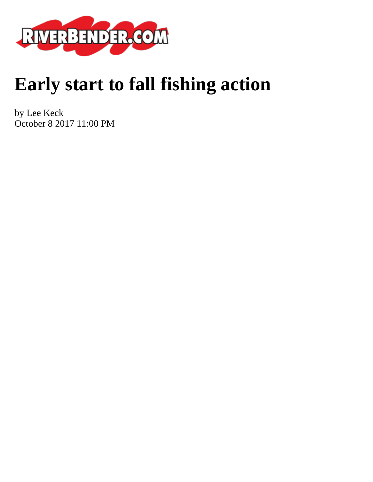

## **Early start to fall fishing action**

by Lee Keck October 8 2017 11:00 PM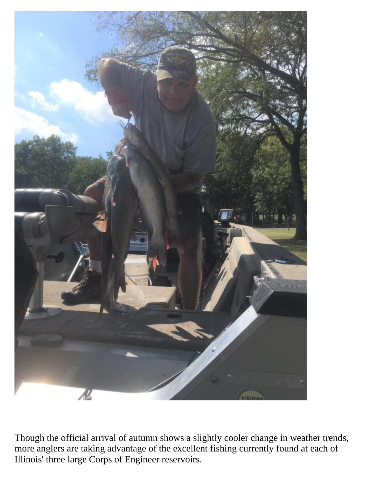

Though the official arrival of autumn shows a slightly cooler change in weather trends, more anglers are taking advantage of the excellent fishing currently found at each of Illinois' three large Corps of Engineer reservoirs.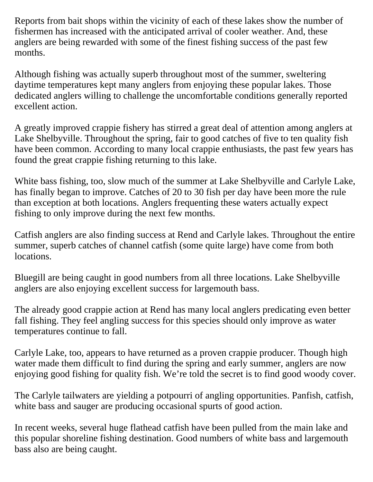Reports from bait shops within the vicinity of each of these lakes show the number of fishermen has increased with the anticipated arrival of cooler weather. And, these anglers are being rewarded with some of the finest fishing success of the past few months.

Although fishing was actually superb throughout most of the summer, sweltering daytime temperatures kept many anglers from enjoying these popular lakes. Those dedicated anglers willing to challenge the uncomfortable conditions generally reported excellent action.

A greatly improved crappie fishery has stirred a great deal of attention among anglers at Lake Shelbyville. Throughout the spring, fair to good catches of five to ten quality fish have been common. According to many local crappie enthusiasts, the past few years has found the great crappie fishing returning to this lake.

White bass fishing, too, slow much of the summer at Lake Shelbyville and Carlyle Lake, has finally began to improve. Catches of 20 to 30 fish per day have been more the rule than exception at both locations. Anglers frequenting these waters actually expect fishing to only improve during the next few months.

Catfish anglers are also finding success at Rend and Carlyle lakes. Throughout the entire summer, superb catches of channel catfish (some quite large) have come from both locations.

Bluegill are being caught in good numbers from all three locations. Lake Shelbyville anglers are also enjoying excellent success for largemouth bass.

The already good crappie action at Rend has many local anglers predicating even better fall fishing. They feel angling success for this species should only improve as water temperatures continue to fall.

Carlyle Lake, too, appears to have returned as a proven crappie producer. Though high water made them difficult to find during the spring and early summer, anglers are now enjoying good fishing for quality fish. We're told the secret is to find good woody cover.

The Carlyle tailwaters are yielding a potpourri of angling opportunities. Panfish, catfish, white bass and sauger are producing occasional spurts of good action.

In recent weeks, several huge flathead catfish have been pulled from the main lake and this popular shoreline fishing destination. Good numbers of white bass and largemouth bass also are being caught.